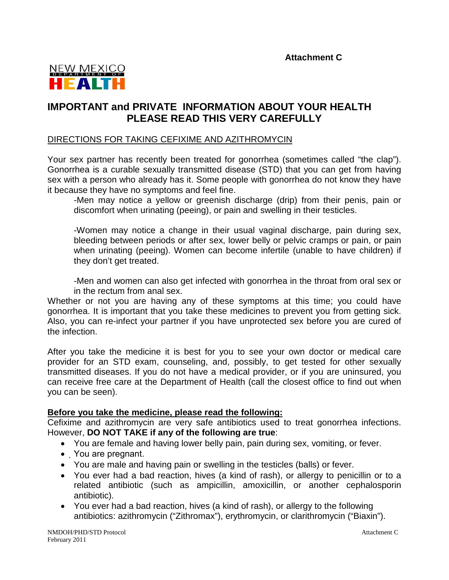

## **IMPORTANT and PRIVATE INFORMATION ABOUT YOUR HEALTH PLEASE READ THIS VERY CAREFULLY**

## DIRECTIONS FOR TAKING CEFIXIME AND AZITHROMYCIN

Your sex partner has recently been treated for gonorrhea (sometimes called "the clap"). Gonorrhea is a curable sexually transmitted disease (STD) that you can get from having sex with a person who already has it. Some people with gonorrhea do not know they have it because they have no symptoms and feel fine.

-Men may notice a yellow or greenish discharge (drip) from their penis, pain or discomfort when urinating (peeing), or pain and swelling in their testicles.

-Women may notice a change in their usual vaginal discharge, pain during sex, bleeding between periods or after sex, lower belly or pelvic cramps or pain, or pain when urinating (peeing). Women can become infertile (unable to have children) if they don't get treated.

-Men and women can also get infected with gonorrhea in the throat from oral sex or in the rectum from anal sex.

Whether or not you are having any of these symptoms at this time; you could have gonorrhea. It is important that you take these medicines to prevent you from getting sick. Also, you can re-infect your partner if you have unprotected sex before you are cured of the infection.

After you take the medicine it is best for you to see your own doctor or medical care provider for an STD exam, counseling, and, possibly, to get tested for other sexually transmitted diseases. If you do not have a medical provider, or if you are uninsured, you can receive free care at the Department of Health (call the closest office to find out when you can be seen).

## **Before you take the medicine, please read the following:**

Cefixime and azithromycin are very safe antibiotics used to treat gonorrhea infections. However, **DO NOT TAKE if any of the following are true**:

- You are female and having lower belly pain, pain during sex, vomiting, or fever.
- You are pregnant.
- You are male and having pain or swelling in the testicles (balls) or fever.
- You ever had a bad reaction, hives (a kind of rash), or allergy to penicillin or to a related antibiotic (such as ampicillin, amoxicillin, or another cephalosporin antibiotic).
- You ever had a bad reaction, hives (a kind of rash), or allergy to the following antibiotics: azithromycin ("Zithromax"), erythromycin, or clarithromycin ("Biaxin").